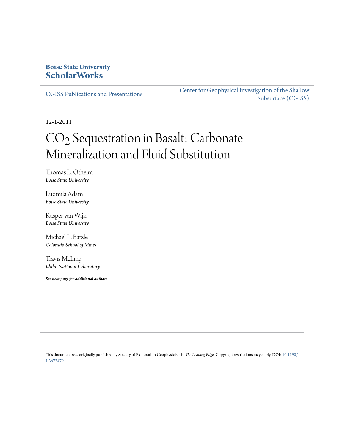### **Boise State University [ScholarWorks](https://scholarworks.boisestate.edu)**

[CGISS Publications and Presentations](https://scholarworks.boisestate.edu/cgiss_facpubs)

[Center for Geophysical Investigation of the Shallow](https://scholarworks.boisestate.edu/cgiss) [Subsurface \(CGISS\)](https://scholarworks.boisestate.edu/cgiss)

12-1-2011

# CO2 Sequestration in Basalt: Carbonate Mineralization and Fluid Substitution

Thomas L. Otheim *Boise State University*

Ludmila Adam *Boise State University*

Kasper van Wijk *Boise State University*

Michael L. Batzle *Colorado School of Mines*

Travis McLing *Idaho National Laboratory*

*See next page for additional authors*

This document was originally published by Society of Exploration Geophysicists in *The Leading Edge*. Copyright restrictions may apply. DOI: [10.1190/](http://dx.doi.org/10.1190/1.3672479) [1.3672479](http://dx.doi.org/10.1190/1.3672479)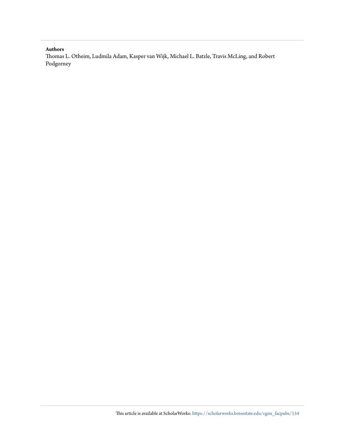#### **Authors**

Thomas L. Otheim, Ludmila Adam, Kasper van Wijk, Michael L. Batzle, Travis McLing, and Robert Podgorney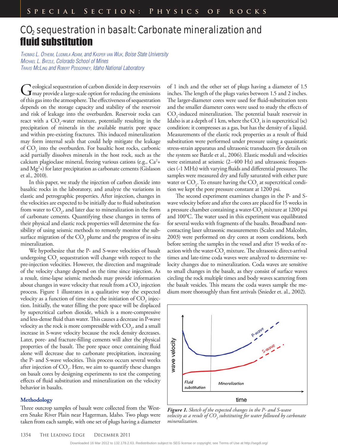## CO<sub>2</sub> sequestration in basalt: Carbonate mineralization and fluid substitution

THOMAS L. OTHEIM, LUDMILA ADAM, and KASPER VAN WIJK, Boise State University MICHAEL L. BATZLE, Colorado School of Mines TRAVIS MCLING and ROBERT PODGORNEY, Idaho National Laboratory

Geological sequestration of carbon dioxide in deep reservoirs<br>
Imay provide a large-scale option for reducing the emissions of this gas into the atmosphere. The effectiveness of sequestration depends on the storage capacity and stability of the reservoir and risk of leakage into the overburden. Reservoir rocks can react with a  $CO_2$ -water mixture, potentially resulting in the precipitation of minerals in the available matrix pore space and within pre-existing fractures. This induced mineralization may form internal seals that could help mitigate the leakage of  $\mathrm{CO}_2$  into the overburden. For basaltic host rocks, carbonic acid partially dissolves minerals in the host rock, such as the calcium plagioclase mineral, freeing various cations (e.g., Ca<sup>2</sup>+ and Mg2 +) for later precipitation as carbonate cements (Gislason et al., 2010).

In this paper, we study the injection of carbon dioxide into basaltic rocks in the laboratory, and analyze the variations in elastic and petrographic properties. After injection, changes in the velocities are expected to be initially due to fluid substitution from water to  $CO<sub>2</sub>$ , and later due to mineralization in the form of carbonate cements. Quantifying these changes in terms of their physical and elastic rock properties will determine the feasibility of using seismic methods to remotely monitor the subsurface migration of the  $\mathrm{CO}_2$  plume and the progress of in-situ mineralization.

We hypothesize that the P- and S-wave velocities of basalt undergoing  $\mathrm{CO}_2^{}$  sequestration will change with respect to the pre-injection velocities. However, the direction and magnitude of the velocity change depend on the time since injection. As a result, time-lapse seismic methods may provide information about changes in wave velocity that result from a  $\mathrm{CO}_2$  injection process. Figure 1 illustrates in a qualitative way the expected velocity as a function of time since the initiation of  $\mathrm{CO}_2$  injection. Initially, the water filling the pore space will be displaced by supercritical carbon dioxide, which is a more-compressive and less-dense fluid than water. This causes a decrease in P-wave velocity as the rock is more compressible with  $\mathrm{CO}_2^2$ , and a small increase in S-wave velocity because the rock density decreases. Later, pore- and fracture-filling cements will alter the physical properties of the basalt. The pore space once containing fluid alone will decrease due to carbonate precipitation, increasing the P- and S-wave velocities. This process occurs several weeks after injection of  $\mathrm{CO}_2$ . Here, we aim to quantify these changes on basalt cores by designing experiments to test the competing effects of fluid substitution and mineralization on the velocity behavior in basalts.

#### **Methodology**

Three outcrop samples of basalt were collected from the Western Snake River Plain near Hagerman, Idaho. Two plugs were taken from each sample, with one set of plugs having a diameter of 1 inch and the other set of plugs having a diameter of 1.5 inches. The length of the plugs varies between 1.5 and 2 inches. The larger-diameter cores were used for fluid-substitution tests and the smaller diameter cores were used to study the effects of CO2 -induced mineralization. The potential basalt reservoir in Idaho is at a depth of 1 km, where the  $\mathrm{CO}_2$  is in supercritical (sc) condition: it compresses as a gas, but has the density of a liquid. Measurements of the elastic rock properties as a result of fluid substitution were performed under pressure using a quasistatic stress-strain apparatus and ultrasonic transducers (for details on the system see Batzle et al., 2006). Elastic moduli and velocities were estimated at seismic (2–400 Hz) and ultrasonic frequencies (~1 MHz) with varying fluids and differential pressures. The samples were measured dry and fully saturated with either pure water or  $\mathrm{CO}_2^{}$ . To ensure having the  $\mathrm{CO}_2^{}$  at supercritical condition we kept the pore pressure constant at 1200 psi.

The second experiment examines changes in the P- and Swave velocity before and after the cores are placed for 15 weeks in a pressure chamber containing a water- $\rm CO_{2}$  mixture at 1200 psi and 100°C. The water used in this experiment was equilibrated for several weeks with fragments of the basalts. Broadband noncontacting laser ultrasonic measurements (Scales and Malcolm, 2003) were performed on dry cores at room conditions, both before setting the samples in the vessel and after 15 weeks of reaction with the water- $\mathrm{CO}_2$  mixture. The ultrasonic direct-arrival times and late-time coda waves were analyzed to determine velocity changes due to mineralization. Coda waves are sensitive to small changes in the basalt, as they consist of surface waves circling the rock multiple times and body waves scattering from the basalt vesicles. This means the coda waves sample the medium more thoroughly than first arrivals (Snieder et. al., 2002).



*Figure 1. Sketch of the expected changes in the P- and S-wave velocity as a result of CO2 substituting for water followed by carbonate mineralization.*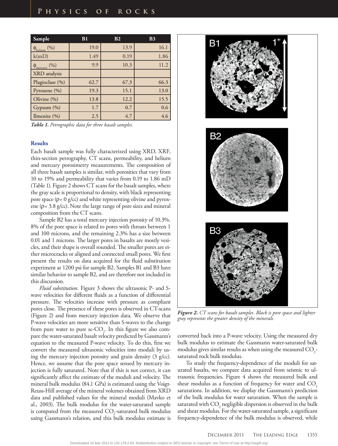| <b>Sample</b>               | B1   | B <sub>2</sub> | B <sub>3</sub> |
|-----------------------------|------|----------------|----------------|
| $\phi_{helium}$ (%)         | 19.0 | 13.9           | 16.1           |
| k(mD)                       | 1.49 | 0.19           | 1.86           |
| $\phi_{\text{mercury}}$ (%) | 9.9  | 10.3           | 11.2           |
| XRD analysis                |      |                |                |
| Plagioclase (%)             | 62.7 | 67.3           | 66.3           |
| Pyroxene (%)                | 19.3 | 15.1           | 13.0           |
| Olivine (%)                 | 13.8 | 12.2           | 15.5           |
| Gypsum (%)                  | 1.7  | 0.7            | 0.6            |
| Ilmenite $(\% )$            | 2.5  | 4.7            | 4.6            |

*Table 1. Petrographic data for three basalt samples.*

#### **Results**

Each basalt sample was fully characterized using XRD, XRF, thin-section petrography, CT scans, permeability, and helium and mercury porosimetry measurements. The composition of all three basalt samples is similar, with porosities that vary from 10 to 19% and permeability that varies from 0.19 to 1.86 mD (Table 1). Figure 2 shows CT scans for the basalt samples, where the gray scale is proportional to density, with black representing pore space  $(p= 0 g/cc)$  and white representing olivine and pyroxene ( $p = 3.8$  g/cc). Note the large range of pore sizes and mineral composition from the CT scans.

Sample B2 has a total mercury injection porosity of 10.3%. 8% of the pore space is related to pores with throats between 1 and 100 microns, and the remaining 2.3% has a size between 0.01 and 1 microns. The larger pores in basalts are mostly vesicles, and their shape is overall rounded. The smaller pores are either microcracks or aligned and connected small pores. We first present the results on data acquired for the fluid substitution experiment at 1200 psi for sample B2. Samples B1 and B3 have similar behavior to sample B2, and are therefore not included in this discussion.

*Fluid substitution.* Figure 3 shows the ultrasonic P- and Swave velocities for different fluids as a function of differential pressure. The velocities increase with pressure as compliant pores close. The presence of these pores is observed in CT-scans (Figure 2) and from mercury injection data. We observe that P-wave velocities are more sensitive than S-waves to the change from pure water to pure  $\text{sc-CO}_2$ . In this figure we also compare the water-saturated basalt velocity predicted by Gassmann's equation to the measured P-wave velocity. To do this, first we convert the measured ultrasonic velocities into moduli by using the mercury injection porosity and grain density (3 g/cc). Hence, we assume that the pore space sensed by mercury injection is fully saturated. Note that if this is not correct, it can significantly affect the estimate of the moduli and velocity. The mineral bulk modulus (84.1 GPa) is estimated using the Voigt-Reuss-Hill average of the mineral volumes obtained from XRD data and published values for the mineral moduli (Mavko et al., 2003). The bulk modulus for the water-saturated sample is computed from the measured  $\mathrm{CO}_2$ -saturated bulk modulus using Gassmann's relation, and this bulk modulus estimate is



*Figure 2. CT scans for basalt samples. Black is pore space and lighter gray represents the greater density of the minerals.*

converted back into a P-wave velocity. Using the measured dry bulk modulus to estimate the Gassmann water-saturated bulk modulus gives similar results as when using the measured  $\mathrm{CO}_2$ saturated rock bulk modulus.

To study the frequency-dependence of the moduli for saturated basalts, we compare data acquired from seismic to ultrasonic frequencies. Figure 4 shows the measured bulk and shear modulus as a function of frequency for water and CO<sub>2</sub> saturations. In addition, we display the Gassmann's prediction of the bulk modulus for water saturation. When the sample is saturated with  $\mathrm{CO}_2$  negligible dispersion is observed in the bulk and shear modulus. For the water-saturated sample, a significant frequency-dependence of the bulk modulus is observed, while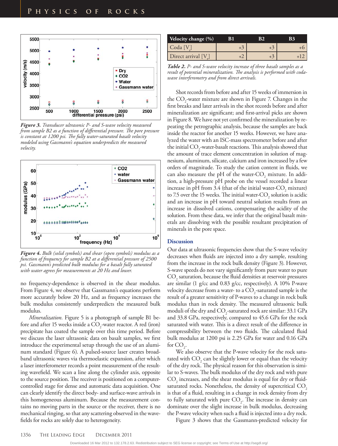

*Figure 3. Transducer ultrasonic P- and S-wave velocity measured from sample B2 as a function of differential pressure. The pore pressure is constant at 1200 psi. The fully water-saturated basalt velocity modeled using Gassmann's equation underpredicts the measured velocity.*



*Figure 4. Bulk (solid symbols) and shear (open symbols) modulus as a function of frequency for sample B2 at a differential pressure of 2500 psi. Gassmann's predicted bulk modulus for a basalt fully saturated with water agrees for measurements at 20 Hz and lower.*

no frequency-dependence is observed in the shear modulus. From Figure 4, we observe that Gassmann's equations perform more accurately below 20 Hz, and as frequency increases the bulk modulus consistently underpredicts the measured bulk modulus.

*Mineralization.* Figure 5 is a photograph of sample B1 before and after 15 weeks inside a  $\text{CO}_2$ -water reactor. A red (iron) precipitate has coated the sample over this time period. Before we discuss the laser ultrasonic data on basalt samples, we first introduce the experimental setup through the use of an aluminum standard (Figure 6). A pulsed-source laser creates broadband ultrasonic waves via thermoelastic expansion, after which a laser interferometer records a point measurement of the resulting wavefield. We scan a line along the cylinder axis, opposite to the source position. The receiver is positioned on a computercontrolled stage for dense and automatic data acquisition. One can clearly identify the direct body- and surface-wave arrivals in this homogeneous aluminum. Because the measurement contains no moving parts in the source or the receiver, there is no mechanical ringing, so that any scattering observed in the wavefields for rocks are solely due to heterogeneity.

| Velocity change (%) | B1 | B2 |  |
|---------------------|----|----|--|
| Coda [V             |    |    |  |
| Direct arrival [V]  |    |    |  |

*Table 2. P- and S-wave velocity increase of three basalt samples as a result of potential mineralization. The analysis is performed with codawave interferometry and from direct arrivals.*

Shot records from before and after 15 weeks of immersion in the CO<sub>2</sub>-water mixture are shown in Figure 7. Changes in the first breaks and later arrivals in the shot records before and after mineralization are significant; and first-arrival picks are shown in Figure 8. We have not yet confirmed the mineralization by repeating the petrographic analysis, because the samples are back inside the reactor for another 15 weeks. However, we have analyzed the water with an ISC-mass spectrometer before and after the initial  $\mathrm{CO}_2$ -water-basalt reactions. This analysis showed that the amount of trace element concentration in solution of magnesium, aluminum, silicate, calcium and iron increased by a few orders of magnitude. To study the cation content in fluids, we can also measure the pH of the water- $\text{CO}_2$  mixture. In addition, a high-pressure pH probe on the vessel recorded a linear increase in pH from 3.4 (that of the initial water- $\text{CO}_2$  mixture) to 7.5 over the 15 weeks. The initial water- $\rm CO_{2}$  solution is acidic and an increase in pH toward neutral solution results from an increase in dissolved cations, compensating the acidity of the solution. From these data, we infer that the original basalt minerals are dissolving with the possible resultant precipitation of minerals in the pore space.

#### **Discussion**

Our data at ultrasonic frequencies show that the S-wave velocity decreases when fluids are injected into a dry sample, resulting from the increase in the rock bulk density (Figure 3). However, S-wave speeds do not vary significantly from pure water to pure  $\mathrm{CO}_\mathrm{2}$  saturation, because the fluid densities at reservoir pressures are similar (1 g/cc and 0.83 g/cc, respectively). A 10% P-wave velocity decrease from a water- to a  $\mathrm{CO}_2$ -saturated sample is the result of a greater sensitivity of P-waves to a change in rock bulk modulus than in rock density. The measured ultrasonic bulk moduli of the dry and  $\text{CO}_2$ -saturated rock are similar: 33.1 GPa and 33.8 GPa, respectively, compared to 45.6 GPa for the rock saturated with water. This is a direct result of the difference in compressibility between the two fluids. The calculated fluid bulk modulus at 1200 psi is 2.25 GPa for water and 0.16 GPa for  $CO_{2}$ .

We also observe that the P-wave velocity for the rock saturated with  $\mathrm{CO}_2$  can be slightly lower or equal than the velocity of the dry rock. The physical reason for this observation is similar to S-waves. The bulk modulus of the dry rock and with pure  $\mathrm{CO}_2$  increases, and the shear modulus is equal for dry or fluidsaturated rocks. Nonetheless, the density of supercritical CO<sub>2</sub> is that of a fluid, resulting in a change in rock density from dry to fully saturated with pure  $CO<sub>2</sub>$ . The increase in density can dominate over the slight increase in bulk modulus, decreasing the P-wave velocity when such a fluid is injected into a dry rock.

Figure 3 shows that the Gassmann-predicted velocity for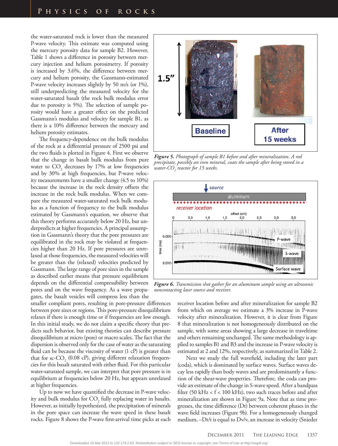the water-saturated rock is lower than the measured P-wave velocity. This estimate was computed using the mercury porosity data for sample B2. However, Table 1 shows a difference in porosity between mercury injection and helium porosimetry. If porosity is increased by 3.6%, the difference between mercury and helium porosity, the Gassmann-estimated P-wave velocity increases slightly by 50 m/s (or 1%), still underpredicting the measured velocity for the water-saturated basalt (the rock bulk modulus error due to porosity is 5%). The selection of sample porosity would have a greater effect on the predicted Gassmann's modulus and velocity for sample B1, as there is a 10% difference between the mercury and helium porosity estimates.

The frequency-dependence on the bulk modulus of the rock at a differential pressure of 2500 psi and the two fluids is plotted in Figure 4. First we observe that the change in basalt bulk modulus from pure water to  $CO<sub>2</sub>$  decreases by 17% at low frequencies and by 30% at high frequencies, but P-wave velocity measurements have a smaller change (4.5 to 10%) because the increase in the rock density offsets the increase in the rock bulk modulus. When we compare the measured water-saturated rock bulk modulus as a function of frequency to the bulk modulus estimated by Gassmann's equation, we observe that this theory performs accurately below 20 Hz, but underpredicts at higher frequencies. A principal assumption in Gassmann's theory that the pore pressures are equilibrated in the rock may be violated at frequencies higher than 20 Hz. If pore pressures are unrelaxed at those frequencies, the measured velocities will be greater than the (relaxed) velocities predicted by Gassmann. The large range of pore sizes in the sample as described earlier means that pressure equilibrium depends on the differential compressibility between pores and on the wave frequency. As a wave propagates, the basalt vesicles will compress less than the

smaller compliant pores, resulting in pore-pressure differences between pore sizes or regions. This pore-pressure disequilibrium relaxes if there is enough time or if frequencies are low enough. In this initial study, we do not claim a specific theory that predicts such behavior, but existing theories can describe pressure disequilibrium at micro (pore) or macro scales. The fact that the dispersion is observed only for the case of water as the saturating fluid can be because the viscosity of water (1 cP) is greater than that for sc- $CO_2$  (0.08 cP), giving different relaxation frequencies for this basalt saturated with either fluid. For this particular water-saturated sample, we can interpret that pore pressure is in equilibrium at frequencies below 20 Hz, but appears unrelaxed at higher frequencies.

Up to now we have quantified the decrease in P-wave velocity and bulk modulus for  $\mathrm{CO}_2$  fully replacing water in basalts. However, as initially hypothesized, the precipitation of minerals in the pore space can increase the wave speed in these basalt rocks. Figure 8 shows the P-wave first-arrival time picks at each



*Figure 5. Photograph of sample B1 before and after mineralization. A red precipitate, possibly an iron mineral, coats the sample after being stored in a water-CO2 reactor for 15 weeks.*



*Figure 6. Transmission shot gather for an aluminum sample using an ultrasonic noncontacting laser source and receiver.*

receiver location before and after mineralization for sample B2 from which on average we estimate a 3% increase in P-wave velocity after mineralization. However, it is clear from Figure 8 that mineralization is not homogeneously distributed on the sample, with some areas showing a large decrease in traveltime and others remaining unchanged. The same methodology is applied to samples B1 and B3 and the increase in P-wave velocity is estimated at 2 and 12%, respectively, as summarized in Table 2.

Next we study the full wavefield, including the later part (coda), which is dominated by surface waves. Surface waves decay less rapidly than body waves and are predominantly a function of the shear-wave properties. Therefore, the coda can provide an estimate of the change in S-wave speed. After a bandpass filter (50 kHz  $< f < 100$  kHz), two such traces before and after mineralization are shown in Figure 9a. Note that as time progresses, the time difference (Dt) between coherent phases in the wave field increases (Figure 9b). For a homogeneously changed medium, –Dt/t is equal to Dv/v, an increase in velocity (Snieder

Downloaded 16 Mar 2012 to 132.178.2.63. Redistribution subject to SEG license or copyright; see Terms of Use at http://segdl.org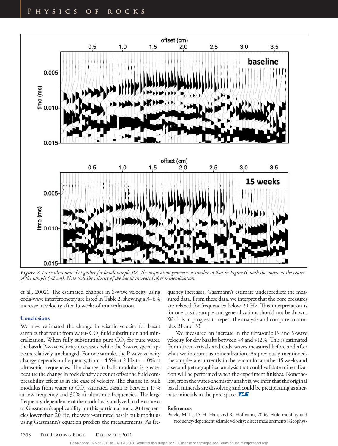

*Figure 7. Laser ultrasonic shot gather for basalt sample B2. The acquisition geometry is similar to that in Figure 6, with the source at the center of the sample (~2 cm). Note that the velocity of the basalt increased after mineralization.*

et al., 2002). The estimated changes in S-wave velocity using coda-wave interferometry are listed in Table 2, showing a 3–6% increase in velocity after 15 weeks of mineralization.

#### **Conclusions**

We have estimated the change in seismic velocity for basalt samples that result from water-  $\mathrm{CO}_2^{}$  fluid substitution and mineralization. When fully substituting pure  $\mathrm{CO}_2$  for pure water, the basalt P-wave velocity decreases, while the S-wave speed appears relatively unchanged. For one sample, the P-wave velocity change depends on frequency, from –4.5% at 2 Hz to –10% at ultrasonic frequencies. The change in bulk modulus is greater because the change in rock density does not offset the fluid compressibility effect as in the case of velocity. The change in bulk modulus from water to  $\mathrm{CO}_2$  saturated basalt is between 17% at low frequency and 30% at ultrasonic frequencies. The large frequency-dependence of the modulus is analyzed in the context of Gassmann's applicability for this particular rock. At frequencies lower than 20 Hz, the water-saturated basalt bulk modulus using Gassmann's equation predicts the measurements. As frequency increases, Gassmann's estimate underpredicts the measured data. From these data, we interpret that the pore pressures are relaxed for frequencies below 20 Hz. This interpretation is for one basalt sample and generalizations should not be drawn. Work is in progress to repeat the analysis and compare to samples B1 and B3.

We measured an increase in the ultrasonic P- and S-wave velocity for dry basalts between +3 and +12%. This is estimated from direct arrivals and coda waves measured before and after what we interpret as mineralization. As previously mentioned, the samples are currently in the reactor for another 15 weeks and a second petrographical analysis that could validate mineralization will be performed when the experiment finishes. Nonetheless, from the water-chemistry analysis, we infer that the original basalt minerals are dissolving and could be precipitating as alternate minerals in the pore space. **TLE** 

#### **References**

Batzle, M. L., D.-H. Han, and R. Hofmann, 2006, Fluid mobility and frequency-dependent seismic velocity: direct measurements: Geophys-